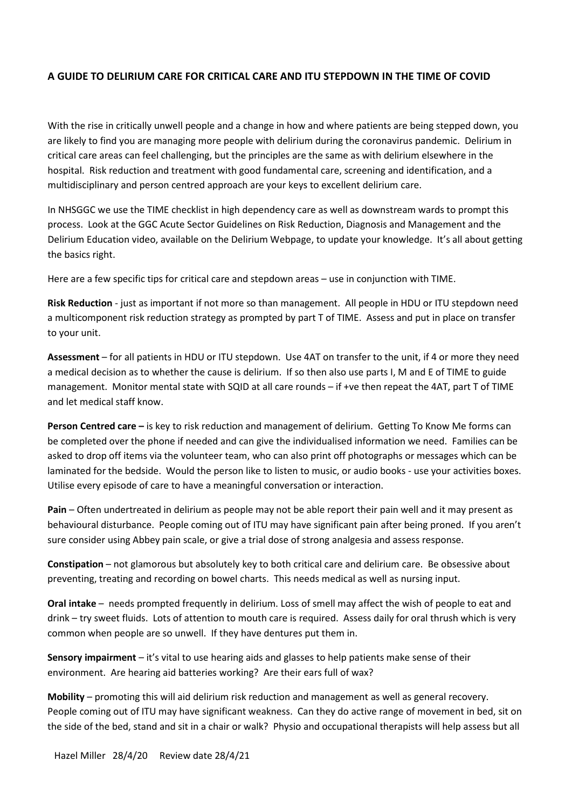#### **A GUIDE TO DELIRIUM CARE FOR CRITICAL CARE AND ITU STEPDOWN IN THE TIME OF COVID**

With the rise in critically unwell people and a change in how and where patients are being stepped down, you are likely to find you are managing more people with delirium during the coronavirus pandemic. Delirium in critical care areas can feel challenging, but the principles are the same as with delirium elsewhere in the hospital. Risk reduction and treatment with good fundamental care, screening and identification, and a multidisciplinary and person centred approach are your keys to excellent delirium care.

In NHSGGC we use the TIME checklist in high dependency care as well as downstream wards to prompt this process. Look at the GGC Acute Sector Guidelines on Risk Reduction, Diagnosis and Management and the Delirium Education video, available on the Delirium Webpage, to update your knowledge. It's all about getting the basics right.

Here are a few specific tips for critical care and stepdown areas – use in conjunction with TIME.

**Risk Reduction** - just as important if not more so than management. All people in HDU or ITU stepdown need a multicomponent risk reduction strategy as prompted by part T of TIME. Assess and put in place on transfer to your unit.

**Assessment** – for all patients in HDU or ITU stepdown. Use 4AT on transfer to the unit, if 4 or more they need a medical decision as to whether the cause is delirium. If so then also use parts I, M and E of TIME to guide management. Monitor mental state with SQID at all care rounds – if +ve then repeat the 4AT, part T of TIME and let medical staff know.

**Person Centred care –** is key to risk reduction and management of delirium. Getting To Know Me forms can be completed over the phone if needed and can give the individualised information we need. Families can be asked to drop off items via the volunteer team, who can also print off photographs or messages which can be laminated for the bedside. Would the person like to listen to music, or audio books - use your activities boxes. Utilise every episode of care to have a meaningful conversation or interaction.

**Pain** – Often undertreated in delirium as people may not be able report their pain well and it may present as behavioural disturbance. People coming out of ITU may have significant pain after being proned. If you aren't sure consider using Abbey pain scale, or give a trial dose of strong analgesia and assess response.

**Constipation** – not glamorous but absolutely key to both critical care and delirium care. Be obsessive about preventing, treating and recording on bowel charts. This needs medical as well as nursing input.

**Oral intake** – needs prompted frequently in delirium. Loss of smell may affect the wish of people to eat and drink – try sweet fluids. Lots of attention to mouth care is required. Assess daily for oral thrush which is very common when people are so unwell. If they have dentures put them in.

**Sensory impairment** – it's vital to use hearing aids and glasses to help patients make sense of their environment. Are hearing aid batteries working? Are their ears full of wax?

**Mobility** – promoting this will aid delirium risk reduction and management as well as general recovery. People coming out of ITU may have significant weakness. Can they do active range of movement in bed, sit on the side of the bed, stand and sit in a chair or walk? Physio and occupational therapists will help assess but all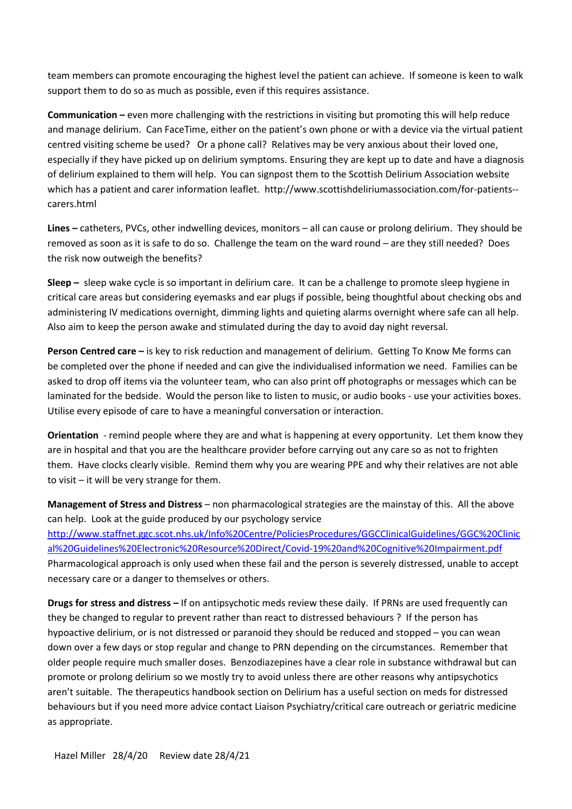team members can promote encouraging the highest level the patient can achieve. If someone is keen to walk support them to do so as much as possible, even if this requires assistance.

**Communication –** even more challenging with the restrictions in visiting but promoting this will help reduce and manage delirium. Can FaceTime, either on the patient's own phone or with a device via the virtual patient centred visiting scheme be used? Or a phone call? Relatives may be very anxious about their loved one, especially if they have picked up on delirium symptoms. Ensuring they are kept up to date and have a diagnosis of delirium explained to them will help. You can signpost them to the Scottish Delirium Association website which has a patient and carer information leaflet. http://www.scottishdeliriumassociation.com/for-patients- carers.html

**Lines –** catheters, PVCs, other indwelling devices, monitors – all can cause or prolong delirium. They should be removed as soon as it is safe to do so. Challenge the team on the ward round – are they still needed? Does the risk now outweigh the benefits?

**Sleep –** sleep wake cycle is so important in delirium care. It can be a challenge to promote sleep hygiene in critical care areas but considering eyemasks and ear plugs if possible, being thoughtful about checking obs and administering IV medications overnight, dimming lights and quieting alarms overnight where safe can all help. Also aim to keep the person awake and stimulated during the day to avoid day night reversal.

**Person Centred care –** is key to risk reduction and management of delirium. Getting To Know Me forms can be completed over the phone if needed and can give the individualised information we need. Families can be asked to drop off items via the volunteer team, who can also print off photographs or messages which can be laminated for the bedside. Would the person like to listen to music, or audio books - use your activities boxes. Utilise every episode of care to have a meaningful conversation or interaction.

**Orientation** - remind people where they are and what is happening at every opportunity. Let them know they are in hospital and that you are the healthcare provider before carrying out any care so as not to frighten them. Have clocks clearly visible. Remind them why you are wearing PPE and why their relatives are not able to visit – it will be very strange for them.

**Management of Stress and Distress** – non pharmacological strategies are the mainstay of this. All the above can help. Look at the guide produced by our psychology service [http://www.staffnet.ggc.scot.nhs.uk/Info%20Centre/PoliciesProcedures/GGCClinicalGuidelines/GGC%20Clinic](http://www.staffnet.ggc.scot.nhs.uk/Info%20Centre/PoliciesProcedures/GGCClinicalGuidelines/GGC%20Clinical%20Guidelines%20Electronic%20Resource%20Direct/Covid-19%20and%20Cognitive%20Impairment.pdf) [al%20Guidelines%20Electronic%20Resource%20Direct/Covid-19%20and%20Cognitive%20Impairment.pdf](http://www.staffnet.ggc.scot.nhs.uk/Info%20Centre/PoliciesProcedures/GGCClinicalGuidelines/GGC%20Clinical%20Guidelines%20Electronic%20Resource%20Direct/Covid-19%20and%20Cognitive%20Impairment.pdf)  Pharmacological approach is only used when these fail and the person is severely distressed, unable to accept necessary care or a danger to themselves or others.

**Drugs for stress and distress –** If on antipsychotic meds review these daily. If PRNs are used frequently can they be changed to regular to prevent rather than react to distressed behaviours ? If the person has hypoactive delirium, or is not distressed or paranoid they should be reduced and stopped – you can wean down over a few days or stop regular and change to PRN depending on the circumstances. Remember that older people require much smaller doses. Benzodiazepines have a clear role in substance withdrawal but can promote or prolong delirium so we mostly try to avoid unless there are other reasons why antipsychotics aren't suitable. The therapeutics handbook section on Delirium has a useful section on meds for distressed behaviours but if you need more advice contact Liaison Psychiatry/critical care outreach or geriatric medicine as appropriate.